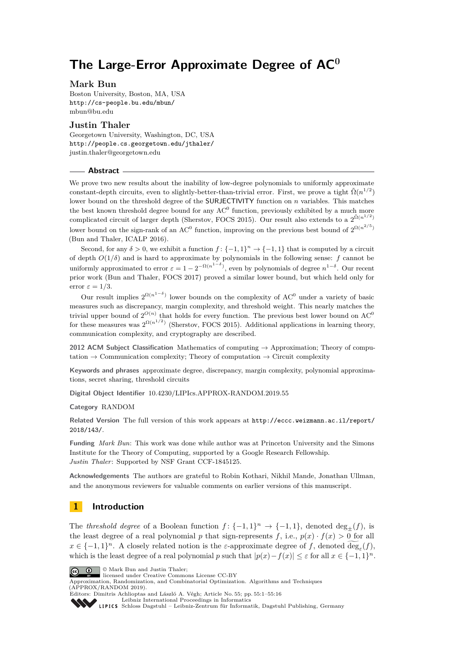# **The Large-Error Approximate Degree of AC<sup>0</sup>**

## **Mark Bun**

Boston University, Boston, MA, USA <http://cs-people.bu.edu/mbun/> [mbun@bu.edu](mailto:mbun@bu.edu)

# **Justin Thaler**

Georgetown University, Washington, DC, USA <http://people.cs.georgetown.edu/jthaler/> [justin.thaler@georgetown.edu](mailto:justin.thaler@georgetown.edu)

#### **Abstract**

We prove two new results about the inability of low-degree polynomials to uniformly approximate constant-depth circuits, even to slightly-better-than-trivial error. First, we prove a tight  $\tilde{\Omega}(n^{1/2})$ lower bound on the threshold degree of the SURJECTIVITY function on *n* variables. This matches the best known threshold degree bound for any  $AC<sup>0</sup>$  function, previously exhibited by a much more complicated circuit of larger depth (Sherstov, FOCS 2015). Our result also extends to a  $2^{\tilde{\Omega}(n^{1/2})}$ lower bound on the sign-rank of an AC<sup>0</sup> function, improving on the previous best bound of  $2^{\Omega(n^{2/5})}$ (Bun and Thaler, ICALP 2016).

Second, for any  $\delta > 0$ , we exhibit a function  $f: \{-1, 1\}^n \to \{-1, 1\}$  that is computed by a circuit of depth  $O(1/\delta)$  and is hard to approximate by polynomials in the following sense: *f* cannot be uniformly approximated to error  $\varepsilon = 1 - 2^{-\Omega(n^{1-\delta})}$ , even by polynomials of degree  $n^{1-\delta}$ . Our recent prior work (Bun and Thaler, FOCS 2017) proved a similar lower bound, but which held only for error  $\varepsilon = 1/3$ .

Our result implies  $2^{\Omega(n^{1-\delta})}$  lower bounds on the complexity of AC<sup>0</sup> under a variety of basic measures such as discrepancy, margin complexity, and threshold weight. This nearly matches the trivial upper bound of  $2^{O(n)}$  that holds for every function. The previous best lower bound on AC<sup>0</sup> for these measures was  $2^{\Omega(n^{1/2})}$  (Sherstov, FOCS 2015). Additional applications in learning theory, communication complexity, and cryptography are described.

**2012 ACM Subject Classification** Mathematics of computing → Approximation; Theory of computation  $\rightarrow$  Communication complexity; Theory of computation  $\rightarrow$  Circuit complexity

**Keywords and phrases** approximate degree, discrepancy, margin complexity, polynomial approximations, secret sharing, threshold circuits

**Digital Object Identifier** [10.4230/LIPIcs.APPROX-RANDOM.2019.55](https://doi.org/10.4230/LIPIcs.APPROX-RANDOM.2019.55)

#### **Category** RANDOM

**Related Version** The full version of this work appears at [http://eccc.weizmann.ac.il/report/](http://eccc.weizmann.ac.il/report/2018/143/) [2018/143/](http://eccc.weizmann.ac.il/report/2018/143/).

**Funding** *Mark Bun*: This work was done while author was at Princeton University and the Simons Institute for the Theory of Computing, supported by a Google Research Fellowship. *Justin Thaler*: Supported by NSF Grant CCF-1845125.

**Acknowledgements** The authors are grateful to Robin Kothari, Nikhil Mande, Jonathan Ullman, and the anonymous reviewers for valuable comments on earlier versions of this manuscript.

# <span id="page-0-0"></span>**1 Introduction**

The *threshold degree* of a Boolean function  $f: \{-1,1\}^n \to \{-1,1\}$ , denoted  $\deg_{\pm}(f)$ , is the least degree of a real polynomial *p* that sign-represents *f*, i.e.,  $p(x) \cdot f(x) > 0$  for all  $x \in \{-1,1\}^n$ . A closely related notion is the *ε*-approximate degree of *f*, denoted  $\deg_{\varepsilon}(f)$ , which is the least degree of a real polynomial *p* such that  $|p(x) - f(x)| \leq \varepsilon$  for all  $x \in \{-1, 1\}^n$ .





Approximation, Randomization, and Combinatorial Optimization. Algorithms and Techniques (APPROX/RANDOM 2019). Editors: Dimitris Achlioptas and László A. Végh; Article No. 55; pp. 55:1–55[:16](#page-15-0)

[Leibniz International Proceedings in Informatics](https://www.dagstuhl.de/lipics/)

[Schloss Dagstuhl – Leibniz-Zentrum für Informatik, Dagstuhl Publishing, Germany](https://www.dagstuhl.de)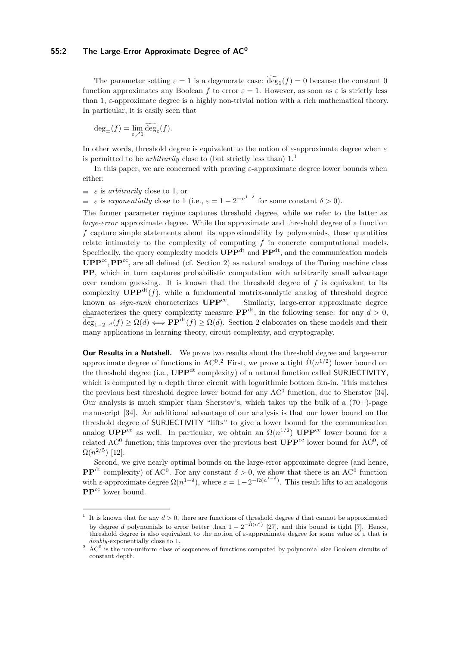#### **55:2 The Large-Error Approximate Degree of AC<sup>0</sup>**

The parameter setting  $\varepsilon = 1$  is a degenerate case:  $\deg_1(f) = 0$  because the constant 0 function approximates any Boolean *f* to error  $\varepsilon = 1$ . However, as soon as  $\varepsilon$  is strictly less than 1, *ε*-approximate degree is a highly non-trivial notion with a rich mathematical theory. In particular, it is easily seen that

$$
\deg_{\pm}(f) = \lim_{\varepsilon \nearrow 1} \widetilde{\deg}_{\varepsilon}(f).
$$

In other words, threshold degree is equivalent to the notion of *ε*-approximate degree when *ε* is permitted to be *arbitrarily* close to (but strictly less than)  $1<sup>1</sup>$  $1<sup>1</sup>$ 

In this paper, we are concerned with proving *ε*-approximate degree lower bounds when either:

 $\equiv \varepsilon$  is *arbitrarily* close to 1, or

*ε* is *exponentially* close to 1 (i.e.,  $\varepsilon = 1 - 2^{-n^{1-\delta}}$  for some constant  $\delta > 0$ ).

The former parameter regime captures threshold degree, while we refer to the latter as *large-error* approximate degree. While the approximate and threshold degree of a function *f* capture simple statements about its approximability by polynomials, these quantities relate intimately to the complexity of computing *f* in concrete computational models. Specifically, the query complexity models  $\mathbf{UPP}^{\mathrm{dt}}$  and  $\mathbf{PP}^{\mathrm{dt}}$ , and the communication models  $\mathbf{UPP}^{\text{cc}}$ ,  $\mathbf{PP}^{\text{cc}}$ , are all defined (cf. Section [2\)](#page-4-0) as natural analogs of the Turing machine class **PP**, which in turn captures probabilistic computation with arbitrarily small advantage over random guessing. It is known that the threshold degree of *f* is equivalent to its complexity  $\mathbf{UPP}^{\mathrm{dt}}(f)$ , while a fundamental matrix-analytic analog of threshold degree known as  $sign\text{-}rank$  characterizes  $\text{UPP}^{\text{cc}}$ . Similarly, large-error approximate degree characterizes the query complexity measure  $\mathbf{PP}^{\text{dt}}$ , in the following sense: for any  $d > 0$ ,  $\widetilde{\deg}_{1-2^{-d}}(f) \geq \Omega(d) \Longleftrightarrow \mathbf{PP}^{\text{dt}}(f) \geq \Omega(d)$ . Section [2](#page-4-0) elaborates on these models and their many applications in learning theory, circuit complexity, and cryptography.

**Our Results in a Nutshell.** We prove two results about the threshold degree and large-error approximate degree of functions in AC<sup>0</sup>.<sup>[2](#page-1-1)</sup> First, we prove a tight  $\tilde{\Omega}(n^{1/2})$  lower bound on the threshold degree (i.e., **UPP**dt complexity) of a natural function called SURJECTIVITY, which is computed by a depth three circuit with logarithmic bottom fan-in. This matches the previous best threshold degree lower bound for any  $AC^0$  function, due to Sherstov [\[34\]](#page-14-0). Our analysis is much simpler than Sherstov's, which takes up the bulk of a  $(70+)$ -page manuscript [\[34\]](#page-14-0). An additional advantage of our analysis is that our lower bound on the threshold degree of SURJECTIVITY "lifts" to give a lower bound for the communication analog  $\text{UPP}^{\text{cc}}$  as well. In particular, we obtain an  $\Omega(n^{1/2})$   $\text{UPP}^{\text{cc}}$  lower bound for a related AC<sup>0</sup> function; this improves over the previous best  $UPP^{cc}$  lower bound for AC<sup>0</sup>, of  $\Omega(n^{2/5})$  [\[12\]](#page-13-0).

Second, we give nearly optimal bounds on the large-error approximate degree (and hence, **PP**<sup>dt</sup> complexity) of AC<sup>0</sup>. For any constant  $\delta > 0$ , we show that there is an AC<sup>0</sup> function with *ε*-approximate degree  $\Omega(n^{1-\delta})$ , where  $\varepsilon = 1-2^{-\Omega(n^{1-\delta})}$ . This result lifts to an analogous **PP**<sup>cc</sup> lower bound.

<span id="page-1-0"></span><sup>&</sup>lt;sup>1</sup> It is known that for any  $d > 0$ , there are functions of threshold degree d that cannot be approximated by degree *d* polynomials to error better than  $1 - 2^{-\tilde{\Omega}(n^d)}$  [\[27\]](#page-14-1), and this bound is tight [\[7\]](#page-13-1). Hence, threshold degree is also equivalent to the notion of *ε*-approximate degree for some value of *ε* that is *doubly*-exponentially close to 1.

<span id="page-1-1"></span> $2\text{ AC}^0$  is the non-uniform class of sequences of functions computed by polynomial size Boolean circuits of constant depth.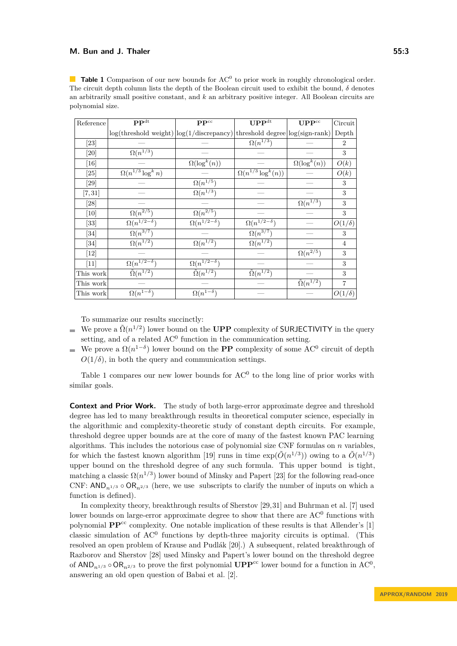<span id="page-2-0"></span>**Table 1** Comparison of our new bounds for AC<sup>0</sup> to prior work in roughly chronological order. The circuit depth column lists the depth of the Boolean circuit used to exhibit the bound, *δ* denotes an arbitrarily small positive constant, and *k* an arbitrary positive integer. All Boolean circuits are polynomial size.

| Reference          | $\overline{\mathbf{PP}^{\text{dt}}}$                                       | $\mathbf{PP}^{\text{cc}}$           | UPP <sup>dt</sup>                     | $\mathbf{UPP}^{\mathrm{cc}}$ | Circuit        |
|--------------------|----------------------------------------------------------------------------|-------------------------------------|---------------------------------------|------------------------------|----------------|
|                    | $log(threshold weight) log(1/discrepancy) threshold degree log(sign-rank)$ |                                     |                                       |                              | Depth          |
| $\left[ 23\right]$ |                                                                            |                                     | $\Omega(n^{1/3})$                     |                              | $\overline{2}$ |
| $[20]$             | $\Omega(n^{1/3})$                                                          |                                     |                                       |                              | 3              |
| $[16]$             |                                                                            | $\Omega(\log^k(n))$                 |                                       | $\Omega(\log^k(n))$          | O(k)           |
| $[25]$             | $\Omega(n^{1/3}\log^k n)$                                                  |                                     | $\overline{\Omega(n^{1/3}\log^k(n))}$ |                              | O(k)           |
| $[29]$             |                                                                            | $\Omega(n^{1/5})$                   |                                       |                              | 3              |
| [7, 31]            |                                                                            | $\Omega(n^{1/3})$                   |                                       |                              | 3              |
| $[28]$             |                                                                            |                                     |                                       | $\Omega(n^{1/3})$            | 3              |
| $[10]$             | $\Omega(n^{2/5})$                                                          | $\Omega(n^{2/5})$                   |                                       |                              | 3              |
| $[33]$             | $\overline{\Omega(n^{1/2-\delta})}$                                        | $\overline{\Omega(n^{1/2-\delta})}$ | $\Omega(n^{1/2-\delta})$              |                              | $O(1/\delta)$  |
| $[34]$             | $\Omega(n^{3/7})$                                                          |                                     | $\Omega(n^{3/7})$                     |                              | 3              |
| $[34]$             | $\Omega(n^{1/2})$                                                          | $\Omega(n^{1/2})$                   | $\Omega(n^{1/2})$                     |                              | $\overline{4}$ |
| $[12]$             |                                                                            |                                     |                                       | $\Omega(n^{2/5})$            | 3              |
| [11]               | $\Omega(n^{1/2-\delta})$                                                   | $\Omega(n^{1/2-\delta})$            |                                       |                              | 3              |
| This work          | $\tilde{\Omega}(n^{1/2})$                                                  | $\tilde{\Omega}(n^{1/2})$           | $\overline{\tilde{\Omega}(n^{1/2})}$  |                              | 3              |
| This work          |                                                                            |                                     |                                       | $\tilde{\Omega}(n^{1/2})$    | $\overline{7}$ |
| This work          | $\Omega(n^{1-\delta})$                                                     | $\Omega(n^{1-\delta})$              |                                       |                              | $O(1/\delta)$  |

To summarize our results succinctly:

- We prove a  $\tilde{\Omega}(n^{1/2})$  lower bound on the **UPP** complexity of **SURJECTIVITY** in the query setting, and of a related  $AC^0$  function in the communication setting.
- We prove a  $\Omega(n^{1-\delta})$  lower bound on the **PP** complexity of some AC<sup>0</sup> circuit of depth  $O(1/\delta)$ , in both the query and communication settings.

Table [1](#page-2-0) compares our new lower bounds for  $AC<sup>0</sup>$  to the long line of prior works with similar goals.

**Context and Prior Work.** The study of both large-error approximate degree and threshold degree has led to many breakthrough results in theoretical computer science, especially in the algorithmic and complexity-theoretic study of constant depth circuits. For example, threshold degree upper bounds are at the core of many of the fastest known PAC learning algorithms. This includes the notorious case of polynomial size CNF formulas on *n* variables, for which the fastest known algorithm [\[19\]](#page-14-10) runs in time  $\exp(\tilde{O}(n^{1/3}))$  owing to a  $\tilde{O}(n^{1/3})$ upper bound on the threshold degree of any such formula. This upper bound is tight, matching a classic  $\Omega(n^{1/3})$  lower bound of Minsky and Papert [\[23\]](#page-14-2) for the following read-once CNF:  $AND_{n^{1/3}} \circ OR_{n^{2/3}}$  (here, we use subscripts to clarify the number of inputs on which a function is defined).

In complexity theory, breakthrough results of Sherstov [\[29,](#page-14-6)[31\]](#page-14-7) and Buhrman et al. [\[7\]](#page-13-1) used lower bounds on large-error approximate degree to show that there are  $AC<sup>0</sup>$  functions with polynomial **PP**cc complexity. One notable implication of these results is that Allender's [\[1\]](#page-12-0) classic simulation of AC<sup>0</sup> functions by depth-three majority circuits is optimal. (This resolved an open problem of Krause and Pudlák [\[20\]](#page-14-3).) A subsequent, related breakthrough of Razborov and Sherstov [\[28\]](#page-14-8) used Minsky and Papert's lower bound on the threshold degree of  $AND_{n^{1/3}} \circ OR_{n^{2/3}}$  to prove the first polynomial  $UPP^{cc}$  lower bound for a function in AC<sup>0</sup>, answering an old open question of Babai et al. [\[2\]](#page-12-1).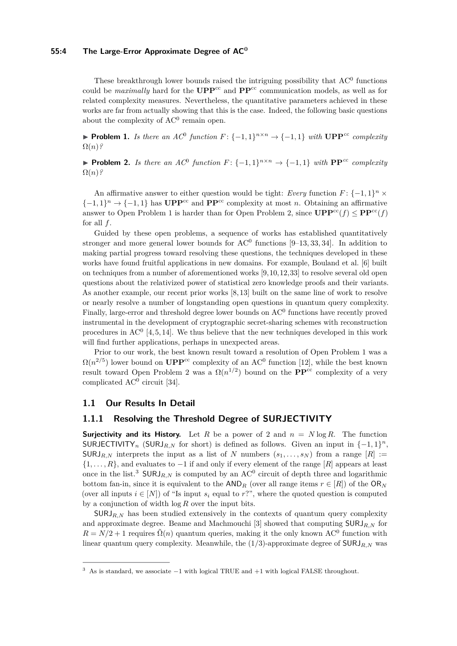#### **55:4 The Large-Error Approximate Degree of AC<sup>0</sup>**

These breakthrough lower bounds raised the intriguing possibility that  $AC<sup>0</sup>$  functions could be *maximally* hard for the  $UPP^{cc}$  and  $PP^{cc}$  communication models, as well as for related complexity measures. Nevertheless, the quantitative parameters achieved in these works are far from actually showing that this is the case. Indeed, the following basic questions about the complexity of AC<sup>0</sup> remain open.

▶ **Problem 1.** *Is there an AC*<sup>0</sup> function  $F: \{-1, 1\}^{n \times n} \to \{-1, 1\}$  with  $\text{UPP}^{cc}$  complexity  $\Omega(n)$ ?

<span id="page-3-1"></span>**► Problem 2.** *Is there an AC*<sup>0</sup> *function*  $F: \{-1,1\}^{n \times n} \to \{-1,1\}$  *with*  $\mathbf{PP}^{cc}$  *complexity*  $\Omega(n)$ ?

An affirmative answer to either question would be tight: *Every* function  $F: \{-1,1\}^n \times$  $\{-1,1\}$ <sup>n</sup>  $\rightarrow$   $\{-1,1\}$  has **UPP**<sup>cc</sup> and **PP**<sup>cc</sup> complexity at most *n*. Obtaining an affirmative answer to Open Problem 1 is harder than for Open Problem 2, since  $\mathbf{UPP}^{\text{cc}}(f) \leq \mathbf{PP}^{\text{cc}}(f)$ for all *f*.

Guided by these open problems, a sequence of works has established quantitatively stronger and more general lower bounds for  $AC^0$  functions [\[9–](#page-13-4)[13,](#page-13-5) [33,](#page-14-9) [34\]](#page-14-0). In addition to making partial progress toward resolving these questions, the techniques developed in these works have found fruitful applications in new domains. For example, Bouland et al. [\[6\]](#page-13-6) built on techniques from a number of aforementioned works [\[9,](#page-13-4)[10,](#page-13-2)[12,](#page-13-0)[33\]](#page-14-9) to resolve several old open questions about the relativized power of statistical zero knowledge proofs and their variants. As another example, our recent prior works [\[8,](#page-13-7) [13\]](#page-13-5) built on the same line of work to resolve or nearly resolve a number of longstanding open questions in quantum query complexity. Finally, large-error and threshold degree lower bounds on  $AC<sup>0</sup>$  functions have recently proved instrumental in the development of cryptographic secret-sharing schemes with reconstruction procedures in  $AC^0$  [\[4,](#page-13-8) [5,](#page-13-9) [14\]](#page-13-10). We thus believe that the new techniques developed in this work will find further applications, perhaps in unexpected areas.

Prior to our work, the best known result toward a resolution of Open Problem 1 was a  $\Omega(n^{2/5})$  lower bound on  $\mathbf{UPP}^{\text{cc}}$  complexity of an AC<sup>0</sup> function [\[12\]](#page-13-0), while the best known result toward Open Problem 2 was a  $\Omega(n^{1/2})$  bound on the **PP**<sup>cc</sup> complexity of a very complicated AC<sup>0</sup> circuit [\[34\]](#page-14-0).

## **1.1 Our Results In Detail**

# **1.1.1 Resolving the Threshold Degree of SURJECTIVITY**

**Surjectivity and its History.** Let *R* be a power of 2 and  $n = N \log R$ . The function SURJECTIVITY<sub>n</sub> (SURJ<sub>R,N</sub> for short) is defined as follows. Given an input in  $\{-1,1\}^n$ ,  $\text{SURJ}_{R,N}$  interprets the input as a list of *N* numbers  $(s_1, \ldots, s_N)$  from a range  $[R] :=$ {1*, . . . , R*}, and evaluates to −1 if and only if every element of the range [*R*] appears at least once in the list.<sup>[3](#page-3-0)</sup> SURJ<sub>R,N</sub> is computed by an  $AC^0$  circuit of depth three and logarithmic bottom fan-in, since it is equivalent to the  $AND<sub>R</sub>$  (over all range items  $r \in [R]$ ) of the  $OR<sub>N</sub>$ (over all inputs  $i \in [N]$ ) of "Is input  $s_i$  equal to  $r$ ?", where the quoted question is computed by a conjunction of width log *R* over the input bits.

 $SURJ_{R,N}$  has been studied extensively in the contexts of quantum query complexity and approximate degree. Beame and Machmouchi [\[3\]](#page-13-11) showed that computing SURJ*R,N* for  $R = N/2 + 1$  requires  $\tilde{\Omega}(n)$  quantum queries, making it the only known AC<sup>0</sup> function with linear quantum query complexity. Meanwhile, the  $(1/3)$ -approximate degree of  $\textsf{SURJ}_{R,N}$  was

<span id="page-3-0"></span><sup>&</sup>lt;sup>3</sup> As is standard, we associate  $-1$  with logical TRUE and  $+1$  with logical FALSE throughout.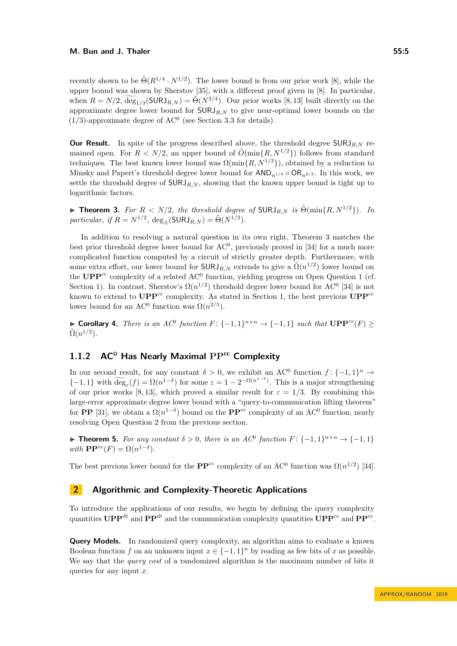recently shown to be  $\tilde{\Theta}(R^{1/4} \cdot N^{1/2})$ . The lower bound is from our prior work [\[8\]](#page-13-7), while the upper bound was shown by Sherstov [\[35\]](#page-15-1), with a different proof given in [\[8\]](#page-13-7). In particular, when  $R = N/2$ ,  $\widetilde{\deg}_{1/3}(\text{SURJ}_{R,N}) = \widetilde{\Theta}(N^{3/4})$ . Our prior works [\[8,](#page-13-7) [13\]](#page-13-5) built directly on the approximate degree lower bound for SURJ*R,N* to give near-optimal lower bounds on the  $(1/3)$ -approximate degree of AC<sup>0</sup> (see Section [3.3](#page-10-0) for details).

**Our Result.** In spite of the progress described above, the threshold degree SURJ<sub>R,N</sub> remained open. For  $R < N/2$ , an upper bound of  $\tilde{O}(\min\{R, N^{1/2}\})$  follows from standard techniques. The best known lower bound was  $\Omega(\min\{R, N^{1/3}\})$ , obtained by a reduction to Minsky and Papert's threshold degree lower bound for  $AND_{n^{1/3}} \circ OR_{n^{2/3}}$ . In this work, we settle the threshold degree of  $\text{SURJ}_R$ <sub>N</sub>, showing that the known upper bound is tight up to logarithmic factors.

<span id="page-4-1"></span>▶ **Theorem 3.** *For*  $R < N/2$ *, the threshold degree of* SURJ<sub>*R,N</sub> is*  $\tilde{\Theta}(\min\{R, N^{1/2}\})$ *. In*</sub> *particular, if*  $R = N^{1/2}$ ,  $\deg_{\pm}(\text{SURJ}_{R,N}) = \tilde{\Theta}(N^{1/2})$ *.* 

In addition to resolving a natural question in its own right, Theorem [3](#page-4-1) matches the best prior threshold degree lower bound for  $AC<sup>0</sup>$ , previously proved in [\[34\]](#page-14-0) for a much more complicated function computed by a circuit of strictly greater depth. Furthermore, with some extra effort, our lower bound for  $\textsf{SURJ}_{R,N}$  extends to give a  $\tilde{\Omega}(n^{1/2})$  lower bound on the  $\mathbf{UPP}^{\text{cc}}$  complexity of a related AC<sup>0</sup> function, yielding progress on Open Question 1 (cf. Section [1\)](#page-3-1). In contrast, Sherstov's  $\Omega(n^{1/2})$  threshold degree lower bound for AC<sup>0</sup> [\[34\]](#page-14-0) is not known to extend to  $\mathbf{UPP}^{\text{cc}}$  complexity. As stated in Section [1,](#page-3-1) the best previous  $\mathbf{UPP}^{\text{cc}}$ lower bound for an AC<sup>0</sup> function was  $\Omega(n^{2/5})$ .

<span id="page-4-3"></span>**► Corollary 4.** *There is an AC*<sup>0</sup> *function*  $F: \{-1,1\}^{n \times n} \to \{-1,1\}$  *such that*  $\text{UPP}^{cc}(F) \ge$  $\tilde{\Omega}(n^{1/2})$ .

# **1.1.2 AC<sup>0</sup> Has Nearly Maximal PPcc Complexity**

In our second result, for any constant  $\delta > 0$ , we exhibit an AC<sup>0</sup> function  $f: \{-1,1\}^n \to$  $\{ -1, 1 \}$  with  $\widetilde{\deg}_{\varepsilon}(f) = \Omega(n^{1-\delta})$  for some  $\varepsilon = 1 - 2^{-\Omega(n^{1-\delta})}$ . This is a major strengthening of our prior works [\[8,](#page-13-7) [13\]](#page-13-5), which proved a similar result for  $\varepsilon = 1/3$ . By combining this large-error approximate degree lower bound with a "query-to-communication lifting theorem" for **PP** [\[31\]](#page-14-7), we obtain a  $\Omega(n^{1-\delta})$  bound on the **PP**<sup>cc</sup> complexity of an AC<sup>0</sup> function, nearly resolving Open Question 2 from the previous section.

<span id="page-4-2"></span>**► Theorem 5.** For any constant  $\delta > 0$ , there is an AC<sup>0</sup> function  $F: \{-1, 1\}^{n \times n} \to \{-1, 1\}$ *with*  $\mathbf{PP}^{cc}(F) = \Omega(n^{1-\delta}).$ 

The best previous lower bound for the  $\mathbf{PP}^{\text{cc}}$  complexity of an AC<sup>0</sup> function was  $\Omega(n^{1/2})$  [\[34\]](#page-14-0).

## <span id="page-4-0"></span>**2 Algorithmic and Complexity-Theoretic Applications**

To introduce the applications of our results, we begin by defining the query complexity quantities  $\text{UPP}^{\text{dt}}$  and  $\text{PP}^{\text{dt}}$  and the communication complexity quantities  $\text{UPP}^{\text{cc}}$  and  $\text{PP}^{\text{cc}}$ .

**Query Models.** In randomized query complexity, an algorithm aims to evaluate a known Boolean function *f* on an unknown input  $x \in \{-1,1\}^n$  by reading as few bits of *x* as possible. We say that the *query cost* of a randomized algorithm is the maximum number of bits it queries for any input *x*.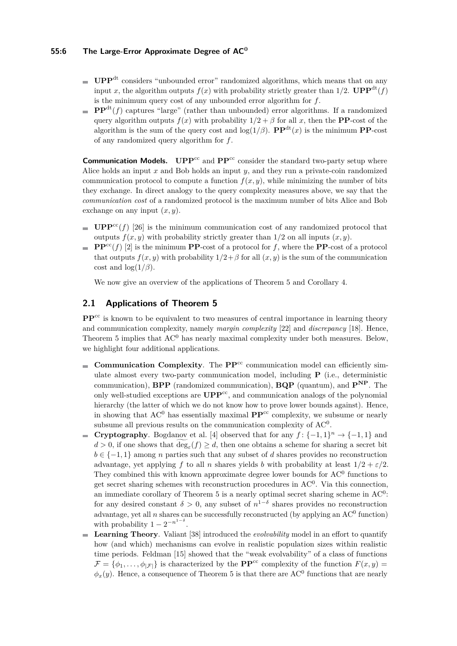### **55:6 The Large-Error Approximate Degree of AC<sup>0</sup>**

- UPP<sup>dt</sup> considers "unbounded error" randomized algorithms, which means that on any input *x*, the algorithm outputs  $f(x)$  with probability strictly greater than 1/2. **UPP**<sup>dt</sup> $(f)$ is the minimum query cost of any unbounded error algorithm for *f*.
- **PP**<sup>dt</sup> $(f)$  captures "large" (rather than unbounded) error algorithms. If a randomized query algorithm outputs  $f(x)$  with probability  $1/2 + \beta$  for all x, then the **PP**-cost of the algorithm is the sum of the query cost and  $log(1/\beta)$ . **PP**<sup>dt</sup>(*x*) is the minimum **PP**-cost of any randomized query algorithm for *f*.

**Communication Models.** UPP<sup>cc</sup> and PP<sup>cc</sup> consider the standard two-party setup where Alice holds an input *x* and Bob holds an input *y*, and they run a private-coin randomized communication protocol to compute a function  $f(x, y)$ , while minimizing the number of bits they exchange. In direct analogy to the query complexity measures above, we say that the *communication cost* of a randomized protocol is the maximum number of bits Alice and Bob exchange on any input  $(x, y)$ .

- **UPP**<sup>cc</sup>(*f*) [\[26\]](#page-14-11) is the minimum communication cost of any randomized protocol that outputs  $f(x, y)$  with probability strictly greater than  $1/2$  on all inputs  $(x, y)$ .
- **PP**<sup>cc</sup>(*f*) [\[2\]](#page-12-1) is the minimum **PP**-cost of a protocol for *f*, where the **PP**-cost of a protocol that outputs  $f(x, y)$  with probability  $1/2 + \beta$  for all  $(x, y)$  is the sum of the communication cost and  $\log(1/\beta)$ .

We now give an overview of the applications of Theorem [5](#page-4-2) and Corollary [4.](#page-4-3)

# **2.1 Applications of Theorem [5](#page-4-2)**

**PP<sup>cc</sup>** is known to be equivalent to two measures of central importance in learning theory and communication complexity, namely *margin complexity* [\[22\]](#page-14-12) and *discrepancy* [\[18\]](#page-14-13). Hence, Theorem [5](#page-4-2) implies that  $AC<sup>0</sup>$  has nearly maximal complexity under both measures. Below, we highlight four additional applications.

- **Communication Complexity**. The  $\mathbf{PP}^{\text{cc}}$  communication model can efficiently simulate almost every two-party communication model, including **P** (i.e., deterministic communication), **BPP** (randomized communication), **BQP** (quantum), and **PNP**. The only well-studied exceptions are **UPP**cc, and communication analogs of the polynomial hierarchy (the latter of which we do not know how to prove lower bounds against). Hence, in showing that  $AC^0$  has essentially maximal  $PP^{cc}$  complexity, we subsume or nearly subsume all previous results on the communication complexity of  $AC<sup>0</sup>$ .
- **Cryptography**. Bogdanov et al. [\[4\]](#page-13-8) observed that for any  $f: \{-1, 1\}^n \to \{-1, 1\}$  and  $d > 0$ , if one shows that  $\deg_{\varepsilon}(f) \geq d$ , then one obtains a scheme for sharing a secret bit *b* ∈ {-1, 1} among *n* parties such that any subset of *d* shares provides no reconstruction advantage, yet applying *f* to all *n* shares yields *b* with probability at least  $1/2 + \varepsilon/2$ . They combined this with known approximate degree lower bounds for  $AC<sup>0</sup>$  functions to get secret sharing schemes with reconstruction procedures in AC<sup>0</sup>. Via this connection, an immediate corollary of Theorem [5](#page-4-2) is a nearly optimal secret sharing scheme in  $AC<sup>0</sup>$ : for any desired constant  $\delta > 0$ , any subset of  $n^{1-\delta}$  shares provides no reconstruction advantage, yet all  $n$  shares can be successfully reconstructed (by applying an  $AC^0$  function) with probability  $1 - 2^{-n^{1-\delta}}$ .
- **Learning Theory**. Valiant [\[38\]](#page-15-2) introduced the *evolvability* model in an effort to quantify m. how (and which) mechanisms can evolve in realistic population sizes within realistic time periods. Feldman [\[15\]](#page-13-12) showed that the "weak evolvability" of a class of functions  $\mathcal{F} = \{\phi_1, \ldots, \phi_{|\mathcal{F}|}\}\$ is characterized by the **PP**<sup>cc</sup> complexity of the function  $F(x, y) =$  $\phi_x(y)$ . Hence, a consequence of Theorem [5](#page-4-2) is that there are AC<sup>0</sup> functions that are nearly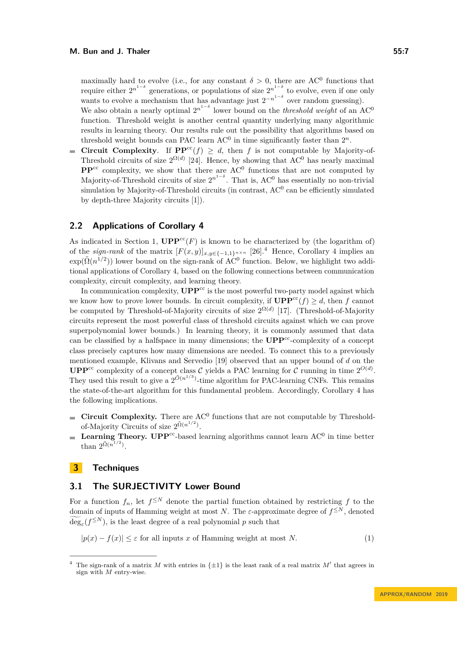maximally hard to evolve (i.e., for any constant  $\delta > 0$ , there are AC<sup>0</sup> functions that require either  $2^{n^{1-\delta}}$  generations, or populations of size  $2^{n^{1-\delta}}$  to evolve, even if one only wants to evolve a mechanism that has advantage just  $2^{-n^{1-\delta}}$  over random guessing).

We also obtain a nearly optimal  $2^{n^{1-\delta}}$  lower bound on the *threshold weight* of an AC<sup>0</sup> function. Threshold weight is another central quantity underlying many algorithmic results in learning theory. Our results rule out the possibility that algorithms based on threshold weight bounds can PAC learn  $AC<sup>0</sup>$  in time significantly faster than  $2<sup>n</sup>$ .

**Circuit Complexity.** If  $\mathbf{PP}^{\text{cc}}(f) \geq d$ , then *f* is not computable by Majority-of- $\overline{a}$ Threshold circuits of size  $2^{\Omega(d)}$  [\[24\]](#page-14-14). Hence, by showing that AC<sup>0</sup> has nearly maximal  $PP^{cc}$  complexity, we show that there are  $AC^0$  functions that are not computed by Majority-of-Threshold circuits of size  $2^{n^{1-\delta}}$ . That is, AC<sup>0</sup> has essentially no non-trivial simulation by Majority-of-Threshold circuits (in contrast,  $AC<sup>0</sup>$  can be efficiently simulated by depth-three Majority circuits [\[1\]](#page-12-0)).

#### **2.2 Applications of Corollary [4](#page-4-3)**

As indicated in Section [1,](#page-0-0)  $\mathbf{UPP}^{\text{cc}}(F)$  is known to be characterized by (the logarithm of) of the *sign-rank* of the matrix  $[F(x, y)]_{x,y\in\{-1,1\}^{n\times n}}$  [\[26\]](#page-14-11).<sup>[4](#page-6-0)</sup> Hence, Corollary [4](#page-4-3) implies an  $\exp(\tilde{\Omega}(n^{1/2}))$  lower bound on the sign-rank of AC<sup>0</sup> function. Below, we highlight two additional applications of Corollary [4,](#page-4-3) based on the following connections between communication complexity, circuit complexity, and learning theory.

In communication complexity,  $\mathbf{UPP}^{\text{cc}}$  is the most powerful two-party model against which we know how to prove lower bounds. In circuit complexity, if  $\mathbf{UPP}^{\text{cc}}(f) \geq d$ , then f cannot be computed by Threshold-of-Majority circuits of size  $2^{\Omega(d)}$  [\[17\]](#page-14-15). (Threshold-of-Majority circuits represent the most powerful class of threshold circuits against which we can prove superpolynomial lower bounds.) In learning theory, it is commonly assumed that data can be classified by a halfspace in many dimensions; the **UPP**<sup>cc</sup>-complexity of a concept class precisely captures how many dimensions are needed. To connect this to a previously mentioned example, Klivans and Servedio [\[19\]](#page-14-10) observed that an upper bound of *d* on the **UPP**<sup>cc</sup> complexity of a concept class C yields a PAC learning for C running in time  $2^{O(d)}$ . They used this result to give a  $2^{\tilde{O}(n^{1/3})}$ -time algorithm for PAC-learning CNFs. This remains the state-of-the-art algorithm for this fundamental problem. Accordingly, Corollary [4](#page-4-3) has the following implications.

- **Circuit Complexity.** There are  $AC<sup>0</sup>$  functions that are not computable by Thresholdof-Majority Circuits of size  $2^{\tilde{\Omega}(n^{1/2})}$ .
- **Learning Theory. UPP<sup>cc</sup>-based learning algorithms cannot learn**  $AC^0$  **in time better**  $\equiv$ than  $2^{\tilde{\Omega}(n^{1/2})}$ .

# **3 Techniques**

# <span id="page-6-2"></span>**3.1 The SURJECTIVITY Lower Bound**

For a function  $f_n$ , let  $f^{\leq N}$  denote the partial function obtained by restricting f to the domain of inputs of Hamming weight at most *N*. The *ε*-approximate degree of  $f^{\leq N}$ , denoted  $deg_{\varepsilon}(f^{\leq N})$ , is the least degree of a real polynomial *p* such that

<span id="page-6-1"></span> $|p(x) - f(x)| \leq \varepsilon$  for all inputs *x* of Hamming weight at most *N*. (1)

<span id="page-6-0"></span><sup>&</sup>lt;sup>4</sup> The sign-rank of a matrix *M* with entries in  $\{\pm 1\}$  is the least rank of a real matrix *M'* that agrees in sign with *M* entry-wise.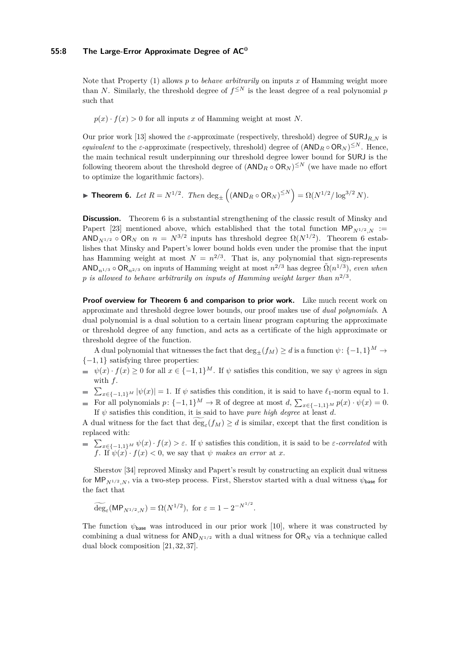Note that Property [\(1\)](#page-6-1) allows *p* to *behave arbitrarily* on inputs *x* of Hamming weight more than *N*. Similarly, the threshold degree of  $f^{\leq N}$  is the least degree of a real polynomial *p* such that

 $p(x) \cdot f(x) > 0$  for all inputs *x* of Hamming weight at most *N*.

Our prior work [\[13\]](#page-13-5) showed the  $\varepsilon$ -approximate (respectively, threshold) degree of  $\text{SURJ}_{R,N}$  is *equivalent* to the *ε*-approximate (respectively, threshold) degree of  $(AND_R \circ OR_N)^{\leq N}$ . Hence, the main technical result underpinning our threshold degree lower bound for SURJ is the following theorem about the threshold degree of  $(\text{AND}_R \circ \text{OR}_N)^{\leq N}$  (we have made no effort to optimize the logarithmic factors).

<span id="page-7-0"></span>► **Theorem 6.** Let  $R = N^{1/2}$ . Then  $\deg_{\pm} ((AND_R \circ OR_N)^{\leq N}) = \Omega(N^{1/2}/\log^{3/2} N)$ .

**Discussion.** Theorem [6](#page-7-0) is a substantial strengthening of the classic result of Minsky and Papert [\[23\]](#page-14-2) mentioned above, which established that the total function  $MP_{N^{1/2},N}$  :=  $AND_{N^{1/2}} \circ OR_N$  on  $n = N^{3/2}$  inputs has threshold degree  $\Omega(N^{1/2})$ . Theorem [6](#page-7-0) establishes that Minsky and Papert's lower bound holds even under the promise that the input has Hamming weight at most  $N = n^{2/3}$ . That is, any polynomial that sign-represents  $\mathsf{AND}_{n^{1/3}} \circ \mathsf{OR}_{n^{2/3}}$  on inputs of Hamming weight at most  $n^{2/3}$  has degree  $\tilde{\Omega}(n^{1/3})$ , *even when p is allowed to behave arbitrarily on inputs of Hamming weight larger than n* 2*/*3 .

**Proof overview for Theorem [6](#page-7-0) and comparison to prior work.** Like much recent work on approximate and threshold degree lower bounds, our proof makes use of *dual polynomials*. A dual polynomial is a dual solution to a certain linear program capturing the approximate or threshold degree of any function, and acts as a certificate of the high approximate or threshold degree of the function.

A dual polynomial that witnesses the fact that  $\deg_{\pm}(f_M) \geq d$  is a function  $\psi$ : {-1,1}<sup>M</sup> → {−1*,* 1} satisfying three properties:

- $\psi(x) \cdot f(x) \geq 0$  for all  $x \in \{-1,1\}^M$ . If  $\psi$  satisfies this condition, we say  $\psi$  agrees in sign with *f*.
- $\sum_{x \in \{-1,1\}^M} |\psi(x)| = 1$ . If  $\psi$  satisfies this condition, it is said to have  $\ell_1$ -norm equal to 1.
- For all polynomials  $p: \{-1, 1\}^M \to \mathbb{R}$  of degree at most  $d, \sum_{x \in \{-1, 1\}^M} p(x) \cdot \psi(x) = 0$ . If  $\psi$  satisfies this condition, it is said to have *pure high degree* at least *d*.

A dual witness for the fact that  $\deg_{\varepsilon}(f_M) \geq d$  is similar, except that the first condition is replaced with:

 $\sum_{x \in \{-1,1\}^M} \psi(x) \cdot f(x) > \varepsilon$ . If  $\psi$  satisfies this condition, it is said to be *ε-correlated* with *f*. If  $\psi(x) \cdot f(x) < 0$ , we say that  $\psi$  *makes an error* at *x*.

Sherstov [\[34\]](#page-14-0) reproved Minsky and Papert's result by constructing an explicit dual witness for  $MP_{N^{1/2},N}$ , via a two-step process. First, Sherstov started with a dual witness  $\psi_{\text{base}}$  for the fact that

$$
\widetilde{\deg}_{\varepsilon}(\mathsf{MP}_{N^{1/2},N}) = \Omega(N^{1/2}), \text{ for } \varepsilon = 1 - 2^{-N^{1/2}}.
$$

The function  $\psi_{\text{base}}$  was introduced in our prior work [\[10\]](#page-13-2), where it was constructed by combining a dual witness for  $AND_{N^{1/2}}$  with a dual witness for  $OR_N$  via a technique called dual block composition [\[21,](#page-14-16) [32,](#page-14-17) [37\]](#page-15-3).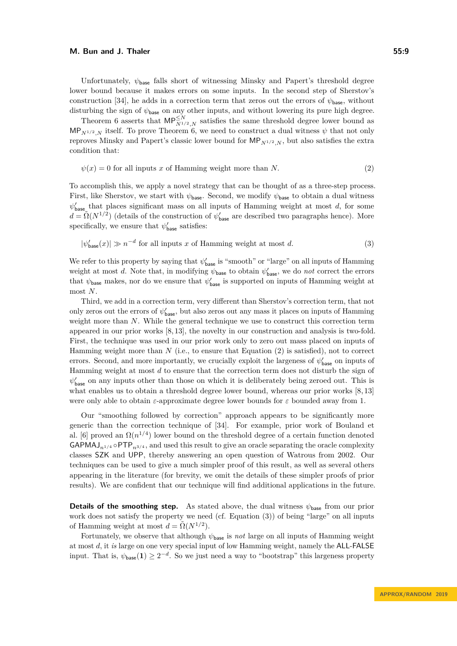Unfortunately,  $\psi_{\text{base}}$  falls short of witnessing Minsky and Papert's threshold degree lower bound because it makes errors on some inputs. In the second step of Sherstov's construction [\[34\]](#page-14-0), he adds in a correction term that zeros out the errors of  $\psi_{\text{base}}$ , without disturbing the sign of  $\psi_{\text{base}}$  on any other inputs, and without lowering its pure high degree.

Theorem [6](#page-7-0) asserts that  $MP_{N^{1/2},N}^{\leq N}$  satisfies the same threshold degree lower bound as  $MP_{N^{1/2}N}$  itself. To prove Theorem [6,](#page-7-0) we need to construct a dual witness  $\psi$  that not only reproves Minsky and Papert's classic lower bound for  $MP_{N^{1/2},N}$ , but also satisfies the extra condition that:

<span id="page-8-0"></span>
$$
\psi(x) = 0 \text{ for all inputs } x \text{ of Hamming weight more than } N. \tag{2}
$$

To accomplish this, we apply a novel strategy that can be thought of as a three-step process. First, like Sherstov, we start with  $\psi_{\text{base}}$ . Second, we modify  $\psi_{\text{base}}$  to obtain a dual witness  $\psi'_{\text{base}}$  that places significant mass on all inputs of Hamming weight at most *d*, for some  $d = \tilde{\Omega}(N^{1/2})$  (details of the construction of  $\psi'_{\text{base}}$  are described two paragraphs hence). More specifically, we ensure that  $\psi'_{\text{base}}$  satisfies:

<span id="page-8-1"></span>
$$
|\psi'_{\text{base}}(x)| \gg n^{-d} \text{ for all inputs } x \text{ of Hamming weight at most } d. \tag{3}
$$

We refer to this property by saying that  $\psi'_{\text{base}}$  is "smooth" or "large" on all inputs of Hamming weight at most *d*. Note that, in modifying  $\psi_{\text{base}}$  to obtain  $\psi'_{\text{base}}$ , we do *not* correct the errors that  $\psi_{\text{base}}$  makes, nor do we ensure that  $\psi'_{\text{base}}$  is supported on inputs of Hamming weight at most *N*.

Third, we add in a correction term, very different than Sherstov's correction term, that not only zeros out the errors of  $\psi'_{\text{base}}$ , but also zeros out any mass it places on inputs of Hamming weight more than *N*. While the general technique we use to construct this correction term appeared in our prior works [\[8,](#page-13-7) [13\]](#page-13-5), the novelty in our construction and analysis is two-fold. First, the technique was used in our prior work only to zero out mass placed on inputs of Hamming weight more than *N* (i.e., to ensure that Equation [\(2\)](#page-8-0) is satisfied), not to correct errors. Second, and more importantly, we crucially exploit the largeness of  $\psi'_{\text{base}}$  on inputs of Hamming weight at most *d* to ensure that the correction term does not disturb the sign of  $\psi'_{\text{base}}$  on any inputs other than those on which it is deliberately being zeroed out. This is what enables us to obtain a threshold degree lower bound, whereas our prior works  $[8, 13]$  $[8, 13]$ were only able to obtain *ε*-approximate degree lower bounds for *ε* bounded away from 1.

Our "smoothing followed by correction" approach appears to be significantly more generic than the correction technique of [\[34\]](#page-14-0). For example, prior work of Bouland et al. [\[6\]](#page-13-6) proved an  $\Omega(n^{1/4})$  lower bound on the threshold degree of a certain function denoted  $GAPMAJ<sub>n1/4</sub> \circ PTP<sub>n3/4</sub>$ , and used this result to give an oracle separating the oracle complexity classes SZK and UPP, thereby answering an open question of Watrous from 2002. Our techniques can be used to give a much simpler proof of this result, as well as several others appearing in the literature (for brevity, we omit the details of these simpler proofs of prior results). We are confident that our technique will find additional applications in the future.

**Details of the smoothing step.** As stated above, the dual witness  $\psi_{\text{base}}$  from our prior work does not satisfy the property we need (cf. Equation [\(3\)](#page-8-1)) of being "large" on all inputs of Hamming weight at most  $d = \tilde{\Omega}(N^{1/2})$ .

Fortunately, we observe that although  $\psi_{\text{base}}$  is *not* large on all inputs of Hamming weight at most *d*, it *is* large on one very special input of low Hamming weight, namely the ALL-FALSE input. That is,  $\psi_{\text{base}}(1) \geq 2^{-d}$ . So we just need a way to "bootstrap" this largeness property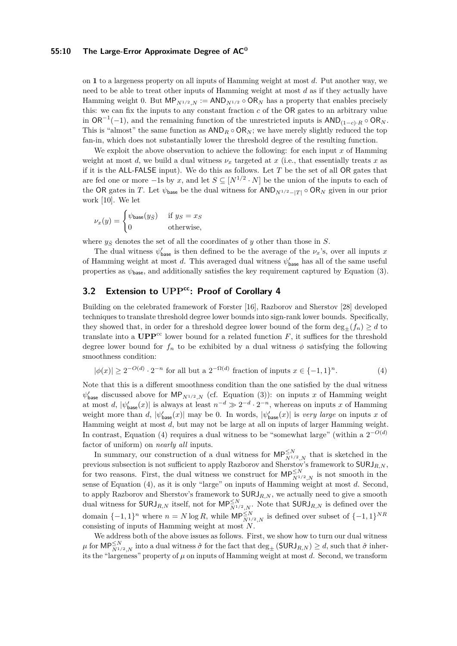#### **55:10 The Large-Error Approximate Degree of AC<sup>0</sup>**

on **1** to a largeness property on all inputs of Hamming weight at most *d*. Put another way, we need to be able to treat other inputs of Hamming weight at most *d* as if they actually have Hamming weight 0. But  $MP_{N^{1/2}N} := AND_{N^{1/2}} \circ OR_N$  has a property that enables precisely this: we can fix the inputs to any constant fraction *c* of the OR gates to an arbitrary value in  $OR^{-1}(-1)$ , and the remaining function of the unrestricted inputs is  $AND_{(1-c)}$ <sub>*R*</sub> ◦ OR<sub>*N*</sub>. This is "almost" the same function as  $AND_R \circ OR_N$ ; we have merely slightly reduced the top fan-in, which does not substantially lower the threshold degree of the resulting function.

We exploit the above observation to achieve the following: for each input *x* of Hamming weight at most *d*, we build a dual witness  $\nu_x$  targeted at *x* (i.e., that essentially treats *x* as if it is the ALL-FALSE input). We do this as follows. Let *T* be the set of all OR gates that are fed one or more  $-1$ s by *x*, and let  $S \subseteq [N^{1/2} \cdot N]$  be the union of the inputs to each of the OR gates in *T*. Let  $\psi_{\text{base}}$  be the dual witness for  $AND_{N^{1/2}-|T|} \circ OR_N$  given in our prior work [\[10\]](#page-13-2). We let

$$
\nu_x(y) = \begin{cases} \psi_{\text{base}}(y_{\bar{S}}) & \text{if } y_S = x_S \\ 0 & \text{otherwise,} \end{cases}
$$

where  $y_{\overline{S}}$  denotes the set of all the coordinates of *y* other than those in *S*.

The dual witness  $\psi'_{\text{base}}$  is then defined to be the average of the  $\nu_x$ 's, over all inputs *x* of Hamming weight at most *d*. This averaged dual witness  $\psi'_{\text{base}}$  has all of the same useful properties as  $\psi_{\text{base}}$ , and additionally satisfies the key requirement captured by Equation [\(3\)](#page-8-1).

# **3.2 Extension to UPPcc: Proof of Corollary [4](#page-4-3)**

Building on the celebrated framework of Forster [\[16\]](#page-14-4), Razborov and Sherstov [\[28\]](#page-14-8) developed techniques to translate threshold degree lower bounds into sign-rank lower bounds. Specifically, they showed that, in order for a threshold degree lower bound of the form  $\deg_{+}(f_n) \geq d$  to translate into a  $\mathbf{UPP}^{\text{cc}}$  lower bound for a related function *F*, it suffices for the threshold degree lower bound for  $f_n$  to be exhibited by a dual witness  $\phi$  satisfying the following smoothness condition:

<span id="page-9-0"></span>
$$
|\phi(x)| \ge 2^{-O(d)} \cdot 2^{-n} \text{ for all but a } 2^{-\Omega(d)} \text{ fraction of inputs } x \in \{-1, 1\}^n. \tag{4}
$$

Note that this is a different smoothness condition than the one satisfied by the dual witness  $\psi'_{\text{base}}$  discussed above for  $\mathsf{MP}_{N^{1/2},N}$  (cf. Equation [\(3\)](#page-8-1)): on inputs *x* of Hamming weight at most *d*,  $|\psi_{\text{base}}'(x)|$  is always at least  $n^{-d} \gg 2^{-d} \cdot 2^{-n}$ , whereas on inputs *x* of Hamming weight more than *d*,  $|\psi'_{base}(x)|$  may be 0. In words,  $|\psi'_{base}(x)|$  is *very large* on inputs *x* of Hamming weight at most *d*, but may not be large at all on inputs of larger Hamming weight. In contrast, Equation [\(4\)](#page-9-0) requires a dual witness to be "somewhat large" (within a  $2^{-O(d)}$ factor of uniform) on *nearly all* inputs.

In summary, our construction of a dual witness for  $MP_{N^{1/2},N}^{\leq N}$  that is sketched in the previous subsection is not sufficient to apply Razborov and Sherstov's framework to SURJ*R,N* , for two reasons. First, the dual witness we construct for  $MP_{N^{1/2},N}^{\leq N}$  is not smooth in the sense of Equation [\(4\)](#page-9-0), as it is only "large" on inputs of Hamming weight at most *d*. Second, to apply Razborov and Sherstov's framework to  $\textsf{SURJ}_{R,N}$ , we actually need to give a smooth dual witness for  $\mathsf{SURJ}_{R,N}$  itself, not for  $\mathsf{MP}_{N^{1/2},N}^{\leq N}$ . Note that  $\mathsf{SURJ}_{R,N}$  is defined over the domain  $\{-1, 1\}^n$  where  $n = N \log R$ , while  $\mathsf{MP}_{N^{1/2},N}^{\leq N}$  is defined over subset of  $\{-1, 1\}^{NR}$ consisting of inputs of Hamming weight at most *N*.

We address both of the above issues as follows. First, we show how to turn our dual witness *µ* for  $MP_{N^{1/2},N}^{\leq N}$  into a dual witness  $\hat{\sigma}$  for the fact that  $\deg_{\pm}(\text{SURJ}_{R,N}) \geq d$ , such that  $\hat{\sigma}$  inherits the "largeness" property of  $\mu$  on inputs of Hamming weight at most  $d$ . Second, we transform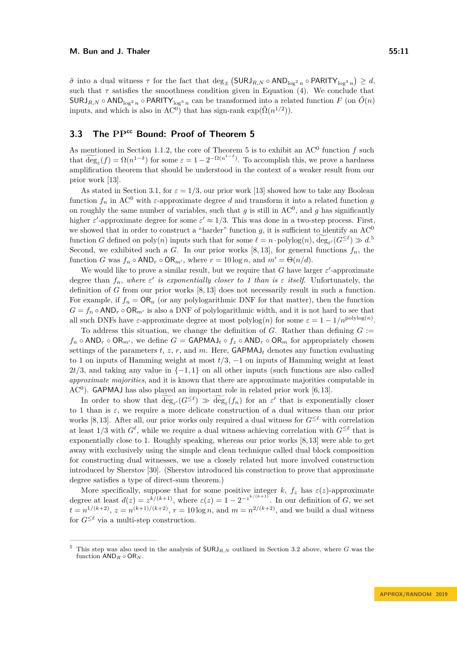$\hat{\sigma}$  into a dual witness  $\tau$  for the fact that  $\deg_{\pm} (\text{SURJ}_{R,N} \circ \text{AND}_{\log^2 n} \circ \text{PARITY}_{\log^3 n}) \geq d$ , such that  $\tau$  satisfies the smoothness condition given in Equation [\(4\)](#page-9-0). We conclude that  $SURJ_{R,N} \circ AND_{\log^2 n} \circ PARITY_{\log^3 n}$  can be transformed into a related function *F* (on  $\tilde{O}(n)$ )

# <span id="page-10-0"></span>**3.3 The PPcc Bound: Proof of Theorem [5](#page-4-2)**

inputs, and which is also in  $AC^0$ ) that has sign-rank  $\exp(\tilde{\Omega}(n^{1/2}))$ .

As mentioned in Section [1.1.2,](#page-4-2) the core of Theorem [5](#page-4-2) is to exhibit an  $AC^0$  function  $f$  such that  $\widetilde{\deg}_{\varepsilon}(f) = \Omega(n^{1-\delta})$  for some  $\varepsilon = 1 - 2^{-\Omega(n^{1-\delta})}$ . To accomplish this, we prove a hardness amplification theorem that should be understood in the context of a weaker result from our prior work [\[13\]](#page-13-5).

As stated in Section [3.1,](#page-6-2) for  $\varepsilon = 1/3$ , our prior work [\[13\]](#page-13-5) showed how to take any Boolean function  $f_n$  in AC<sup>0</sup> with  $\varepsilon$ -approximate degree *d* and transform it into a related function *g* on roughly the same number of variables, such that  $g$  is still in  $AC^0$ , and  $g$  has significantly higher  $\varepsilon'$ -approximate degree for some  $\varepsilon' \approx 1/3$ . This was done in a two-step process. First, we showed that in order to construct a "harder" function  $g$ , it is sufficient to identify an  $AC^0$ function *G* defined on poly $(n)$  inputs such that for some  $\ell = n \cdot \text{polylog}(n)$ , deg<sub> $\varepsilon'$ </sub>  $(G^{\leq \ell}) \gg d$ . Second, we exhibited such a *G*. In our prior works [\[8,](#page-13-7) [13\]](#page-13-5), for general functions  $f_n$ , the function *G* was  $f_n \circ \textsf{AND}_r \circ \textsf{OR}_{m'}$ , where  $r = 10 \log n$ , and  $m' = \Theta(n/d)$ .

We would like to prove a similar result, but we require that  $G$  have larger  $\varepsilon'$ -approximate degree than  $f_n$ , where  $\varepsilon'$  is exponentially closer to 1 than is  $\varepsilon$  itself. Unfortunately, the definition of *G* from our prior works [\[8,](#page-13-7) [13\]](#page-13-5) does not necessarily result in such a function. For example, if  $f_n = \mathsf{OR}_n$  (or any polylogarithmic DNF for that matter), then the function  $G = f_n \circ AND_r \circ OR_{m'}$  is also a DNF of polylogarithmic width, and it is not hard to see that all such DNFs have  $\varepsilon$ -approximate degree at most polylog(*n*) for some  $\varepsilon = 1 - 1/n^{\text{polylog}(n)}$ .

To address this situation, we change the definition of  $G$ . Rather than defining  $G$  := *f*<sup>*n*</sup> ◦ AND<sub>*r*</sub> ◦ OR<sub>*m'*</sub>, we define *G* = GAPMAJ<sub>*t*</sub> ◦ *f*<sub>z</sub> ◦</sub> AND<sub>*r*</sub> ◦ OR<sub>*m*</sub> for appropriately chosen settings of the parameters  $t$ ,  $z$ ,  $r$ , and  $m$ . Here,  $\mathsf{GAPMAJ}_t$  denotes any function evaluating to 1 on inputs of Hamming weight at most *t/*3, −1 on inputs of Hamming weight at least  $2t/3$ , and taking any value in  $\{-1, 1\}$  on all other inputs (such functions are also called *approximate majorities*, and it is known that there are approximate majorities computable in  $AC<sup>0</sup>$ ). GAPMAJ has also played an important role in related prior work [\[6,](#page-13-6)13].

In order to show that  $\deg_{\varepsilon'}(G^{\leq \ell}) \gg \deg_{\varepsilon}(f_n)$  for an  $\varepsilon'$  that is exponentially closer to 1 than is *ε*, we require a more delicate construction of a dual witness than our prior works [\[8,](#page-13-7) [13\]](#page-13-5). After all, our prior works only required a dual witness for  $G^{\leq \ell}$  with correlation at least 1/3 with  $G^{\ell}$ , while we require a dual witness achieving correlation with  $G^{\leq \ell}$  that is exponentially close to 1. Roughly speaking, whereas our prior works [\[8,](#page-13-7) [13\]](#page-13-5) were able to get away with exclusively using the simple and clean technique called dual block composition for constructing dual witnesses, we use a closely related but more involved construction introduced by Sherstov [\[30\]](#page-14-18). (Sherstov introduced his construction to prove that approximate degree satisfies a type of direct-sum theorem.)

More specifically, suppose that for some positive integer  $k$ ,  $f_z$  has  $\varepsilon(z)$ -approximate degree at least  $d(z) = z^{k/(k+1)}$ , where  $\varepsilon(z) = 1 - 2^{-z^{k/(k+1)}}$ . In our definition of *G*, we set  $t = n^{1/(k+2)}$ ,  $z = n^{(k+1)/(k+2)}$ ,  $r = 10 \log n$ , and  $m = n^{2/(k+2)}$ , and we build a dual witness for  $G^{\leq \ell}$  via a multi-step construction.

<span id="page-10-1"></span><sup>&</sup>lt;sup>5</sup> This step was also used in the analysis of  $\mathsf{SURJ}_{R,N}$  outlined in Section [3.2](#page-9-0) above, where G was the function AND*<sup>R</sup>* ◦ OR*<sup>N</sup>* .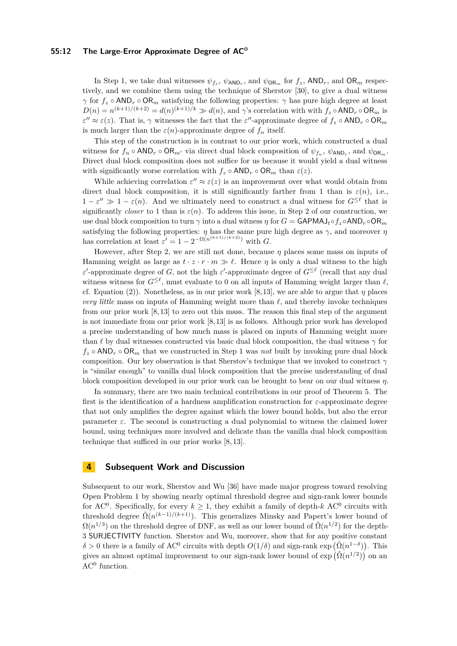#### **55:12 The Large-Error Approximate Degree of AC<sup>0</sup>**

In Step 1, we take dual witnesses  $\psi_{f_z}$ ,  $\psi_{AND_r}$ , and  $\psi_{OR_m}$  for  $f_z$ ,  $AND_r$ , and  $OR_m$  respectively, and we combine them using the technique of Sherstov [\[30\]](#page-14-18), to give a dual witness *γ* for  $f_z \circ \text{AND}_r \circ \text{OR}_m$  satisfying the following properties: *γ* has pure high degree at least  $D(n) = n^{(k+1)/(k+2)} = d(n)^{(k+1)/k} \gg d(n)$ , and *γ*'s correlation with with  $f_z \circ \text{AND}_r \circ \text{OR}_m$  is  $\varepsilon'' \approx \varepsilon(z)$ . That is,  $\gamma$  witnesses the fact that the  $\varepsilon''$ -approximate degree of  $f_z \circ AND_r \circ OR_m$ is much larger than the  $\varepsilon(n)$ -approximate degree of  $f_n$  itself.

This step of the construction is in contrast to our prior work, which constructed a dual witness for  $f_n \circ \textsf{AND}_r \circ \textsf{OR}_{m'}$  via direct dual block composition of  $\psi_{f_n}, \psi_{\textsf{AND}_r},$  and  $\psi_{\textsf{OR}_m}$ . Direct dual block composition does not suffice for us because it would yield a dual witness with significantly worse correlation with  $f_z \circ \textsf{AND}_r \circ \textsf{OR}_m$  than  $\varepsilon(z)$ .

While achieving correlation  $\varepsilon'' \approx \varepsilon(z)$  is an improvement over what would obtain from direct dual block composition, it is still significantly farther from 1 than is  $\varepsilon(n)$ , i.e.,  $1 - \varepsilon'' \gg 1 - \varepsilon(n)$ . And we ultimately need to construct a dual witness for  $G^{\leq \ell}$  that is significantly *closer* to 1 than is  $\varepsilon(n)$ . To address this issue, in Step 2 of our construction, we use dual block composition to turn *γ* into a dual witness *η* for *G* = GAPMAJ*t*◦*f<sup>z</sup>* ◦AND*<sup>r</sup>* ◦OR*<sup>m</sup>* satisfying the following properties:  $\eta$  has the same pure high degree as  $\gamma$ , and moreover  $\eta$ has correlation at least  $\varepsilon' = 1 - 2^{-\Omega(n^{(k+1)/(k+2)})}$  with *G*.

However, after Step 2, we are still not done, because  $\eta$  places some mass on inputs of Hamming weight as large as  $t \cdot z \cdot r \cdot m \gg \ell$ . Hence  $\eta$  is only a dual witness to the high *ε*  $\epsilon$ -approximate degree of *G*, not the high *ε*<sup>2</sup>-approximate degree of *G*<sup>≤ℓ</sup> (recall that any dual witness witness for  $G^{\leq \ell}$ , must evaluate to 0 on all inputs of Hamming weight larger than  $\ell$ , cf. Equation [\(2\)](#page-8-0)). Nonetheless, as in our prior work [\[8,](#page-13-7) [13\]](#page-13-5), we are able to argue that *η* places *very little* mass on inputs of Hamming weight more than  $\ell$ , and thereby invoke techniques from our prior work [\[8,](#page-13-7) [13\]](#page-13-5) to zero out this mass. The reason this final step of the argument is not immediate from our prior work [\[8,](#page-13-7) [13\]](#page-13-5) is as follows. Although prior work has developed a precise understanding of how much mass is placed on inputs of Hamming weight more than  $\ell$  by dual witnesses constructed via basic dual block composition, the dual witness  $\gamma$  for  $f_z \circ \text{AND}_r \circ \text{OR}_m$  that we constructed in Step 1 was *not* built by invoking pure dual block composition. Our key observation is that Sherstov's technique that we invoked to construct *γ* is "similar enough" to vanilla dual block composition that the precise understanding of dual block composition developed in our prior work can be brought to bear on our dual witness *η*.

In summary, there are two main technical contributions in our proof of Theorem [5.](#page-4-2) The first is the identification of a hardness amplification construction for *ε*-approximate degree that not only amplifies the degree against which the lower bound holds, but also the error parameter  $\varepsilon$ . The second is constructing a dual polynomial to witness the claimed lower bound, using techniques more involved and delicate than the vanilla dual block composition technique that sufficed in our prior works [\[8,](#page-13-7) [13\]](#page-13-5).

## **4 Subsequent Work and Discussion**

Subsequent to our work, Sherstov and Wu [\[36\]](#page-15-4) have made major progress toward resolving Open Problem 1 by showing nearly optimal threshold degree and sign-rank lower bounds for AC<sup>0</sup>. Specifically, for every  $k \geq 1$ , they exhibit a family of depth- $k$  AC<sup>0</sup> circuits with threshold degree  $\tilde{\Omega}(n^{(k-1)/(k+1)})$ . This generalizes Minsky and Papert's lower bound of  $\Omega(n^{1/3})$  on the threshold degree of DNF, as well as our lower bound of  $\tilde{\Omega}(n^{1/2})$  for the depth-3 SURJECTIVITY function. Sherstov and Wu, moreover, show that for any positive constant  $\delta > 0$  there is a family of AC<sup>0</sup> circuits with depth  $O(1/\delta)$  and sign-rank exp  $(\tilde{\Omega}(n^{1-\delta}))$ . This gives an almost optimal improvement to our sign-rank lower bound of  $\exp(\tilde{\Omega}(n^{1/2}))$  on an  $AC^0$  function.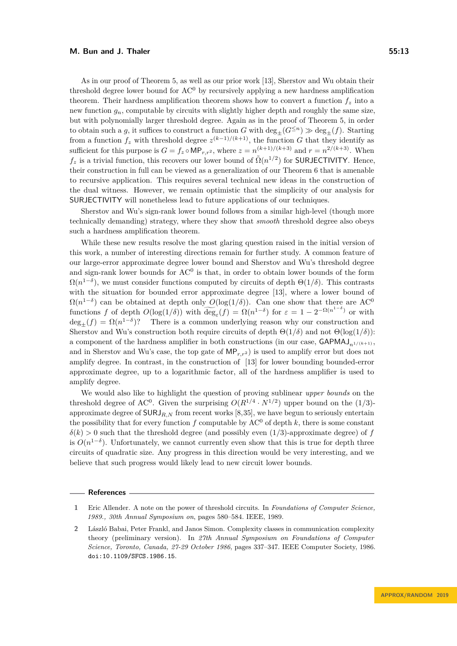As in our proof of Theorem [5,](#page-4-2) as well as our prior work [\[13\]](#page-13-5), Sherstov and Wu obtain their threshold degree lower bound for  $AC<sup>0</sup>$  by recursively applying a new hardness amplification theorem. Their hardness amplification theorem shows how to convert a function  $f_z$  into a new function  $g_n$ , computable by circuits with slightly higher depth and roughly the same size, but with polynomially larger threshold degree. Again as in the proof of Theorem [5,](#page-4-2) in order to obtain such a *q*, it suffices to construct a function *G* with  $\deg_+(G^{\leq n}) \gg \deg_+(f)$ . Starting from a function  $f_z$  with threshold degree  $z^{(k-1)/(k+1)}$ , the function *G* that they identify as sufficient for this purpose is  $G = f_z \circ \mathsf{MP}_{r,r^2}$ , where  $z = n^{(k+1)/(k+3)}$  and  $r = n^{2/(k+3)}$ . When  $f_z$  is a trivial function, this recovers our lower bound of  $\tilde{\Omega}(n^{1/2})$  for SURJECTIVITY. Hence, their construction in full can be viewed as a generalization of our Theorem [6](#page-7-0) that is amenable to recursive application. This requires several technical new ideas in the construction of the dual witness. However, we remain optimistic that the simplicity of our analysis for SURJECTIVITY will nonetheless lead to future applications of our techniques.

Sherstov and Wu's sign-rank lower bound follows from a similar high-level (though more technically demanding) strategy, where they show that *smooth* threshold degree also obeys such a hardness amplification theorem.

While these new results resolve the most glaring question raised in the initial version of this work, a number of interesting directions remain for further study. A common feature of our large-error approximate degree lower bound and Sherstov and Wu's threshold degree and sign-rank lower bounds for  $AC<sup>0</sup>$  is that, in order to obtain lower bounds of the form  $\Omega(n^{1-\delta})$ , we must consider functions computed by circuits of depth  $\Theta(1/\delta)$ . This contrasts with the situation for bounded error approximate degree [\[13\]](#page-13-5), where a lower bound of  $\Omega(n^{1-\delta})$  can be obtained at depth only  $O(\log(1/\delta))$ . Can one show that there are AC<sup>0</sup> functions *f* of depth  $O(\log(1/\delta))$  with  $\widehat{\deg_{\varepsilon}}(f) = \Omega(n^{1-\delta})$  for  $\varepsilon = 1 - 2^{-\Omega(n^{1-\delta})}$  or with  $deg_{\pm}(f) = \Omega(n^{1-\delta})$ ? There is a common underlying reason why our construction and Sherstov and Wu's construction both require circuits of depth  $\Theta(1/\delta)$  and not  $\Theta(\log(1/\delta))$ : a component of the hardness amplifier in both constructions (in our case,  $\mathsf{GAPMAJ}_{n^{1}/(k+1)}$ ) and in Sherstov and Wu's case, the top gate of  $MP<sub>r,r<sup>2</sup></sub>$  ) is used to amplify error but does not amplify degree. In contrast, in the construction of [\[13\]](#page-13-5) for lower bounding bounded-error approximate degree, up to a logarithmic factor, all of the hardness amplifier is used to amplify degree.

We would also like to highlight the question of proving sublinear *upper bounds* on the threshold degree of AC<sup>0</sup>. Given the surprising  $O(R^{1/4} \cdot N^{1/2})$  upper bound on the  $(1/3)$ approximate degree of  $\text{SURJ}_{R,N}$  from recent works [\[8,](#page-13-7)[35\]](#page-15-1), we have begun to seriously entertain the possibility that for every function  $f$  computable by  $AC^0$  of depth  $k$ , there is some constant  $\delta(k) > 0$  such that the threshold degree (and possibly even  $(1/3)$ -approximate degree) of *f* is  $O(n^{1-\delta})$ . Unfortunately, we cannot currently even show that this is true for depth three circuits of quadratic size. Any progress in this direction would be very interesting, and we believe that such progress would likely lead to new circuit lower bounds.

#### **References**

<span id="page-12-0"></span>**<sup>1</sup>** Eric Allender. A note on the power of threshold circuits. In *Foundations of Computer Science, 1989., 30th Annual Symposium on*, pages 580–584. IEEE, 1989.

<span id="page-12-1"></span>**<sup>2</sup>** László Babai, Peter Frankl, and Janos Simon. Complexity classes in communication complexity theory (preliminary version). In *27th Annual Symposium on Foundations of Computer Science, Toronto, Canada, 27-29 October 1986*, pages 337–347. IEEE Computer Society, 1986. [doi:10.1109/SFCS.1986.15](https://doi.org/10.1109/SFCS.1986.15).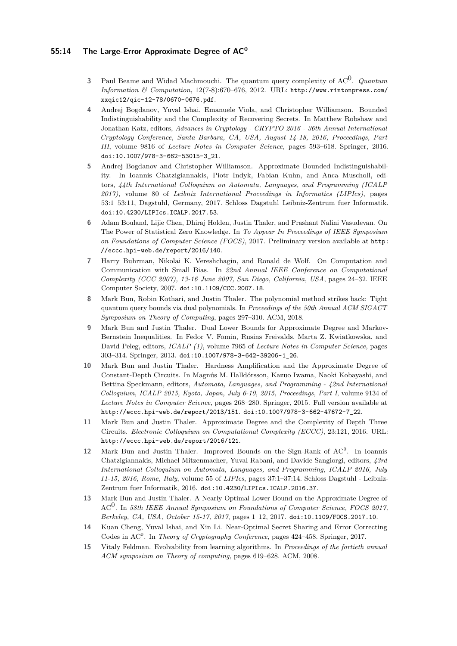### **55:14 The Large-Error Approximate Degree of AC<sup>0</sup>**

- <span id="page-13-11"></span>**<sup>3</sup>** Paul Beame and Widad Machmouchi. The quantum query complexity of AC<sup>0</sup> . *Quantum Information & Computation*, 12(7-8):670–676, 2012. URL: [http://www.rintonpress.com/](http://www.rintonpress.com/xxqic12/qic-12-78/0670-0676.pdf) [xxqic12/qic-12-78/0670-0676.pdf](http://www.rintonpress.com/xxqic12/qic-12-78/0670-0676.pdf).
- <span id="page-13-8"></span>**4** Andrej Bogdanov, Yuval Ishai, Emanuele Viola, and Christopher Williamson. Bounded Indistinguishability and the Complexity of Recovering Secrets. In Matthew Robshaw and Jonathan Katz, editors, *Advances in Cryptology - CRYPTO 2016 - 36th Annual International Cryptology Conference, Santa Barbara, CA, USA, August 14-18, 2016, Proceedings, Part III*, volume 9816 of *Lecture Notes in Computer Science*, pages 593–618. Springer, 2016. [doi:10.1007/978-3-662-53015-3\\_21](https://doi.org/10.1007/978-3-662-53015-3_21).
- <span id="page-13-9"></span>**5** Andrej Bogdanov and Christopher Williamson. Approximate Bounded Indistinguishability. In Ioannis Chatzigiannakis, Piotr Indyk, Fabian Kuhn, and Anca Muscholl, editors, *44th International Colloquium on Automata, Languages, and Programming (ICALP 2017)*, volume 80 of *Leibniz International Proceedings in Informatics (LIPIcs)*, pages 53:1–53:11, Dagstuhl, Germany, 2017. Schloss Dagstuhl–Leibniz-Zentrum fuer Informatik. [doi:10.4230/LIPIcs.ICALP.2017.53](https://doi.org/10.4230/LIPIcs.ICALP.2017.53).
- <span id="page-13-6"></span>**6** Adam Bouland, Lijie Chen, Dhiraj Holden, Justin Thaler, and Prashant Nalini Vasudevan. On The Power of Statistical Zero Knowledge. In *To Appear In Proceedings of IEEE Symposium on Foundations of Computer Science (FOCS)*, 2017. Preliminary version available at [http:](http://eccc.hpi-web.de/report/2016/140) [//eccc.hpi-web.de/report/2016/140](http://eccc.hpi-web.de/report/2016/140).
- <span id="page-13-1"></span>**7** Harry Buhrman, Nikolai K. Vereshchagin, and Ronald de Wolf. On Computation and Communication with Small Bias. In *22nd Annual IEEE Conference on Computational Complexity (CCC 2007), 13-16 June 2007, San Diego, California, USA*, pages 24–32. IEEE Computer Society, 2007. [doi:10.1109/CCC.2007.18](https://doi.org/10.1109/CCC.2007.18).
- <span id="page-13-7"></span>**8** Mark Bun, Robin Kothari, and Justin Thaler. The polynomial method strikes back: Tight quantum query bounds via dual polynomials. In *Proceedings of the 50th Annual ACM SIGACT Symposium on Theory of Computing*, pages 297–310. ACM, 2018.
- <span id="page-13-4"></span>**9** Mark Bun and Justin Thaler. Dual Lower Bounds for Approximate Degree and Markov-Bernstein Inequalities. In Fedor V. Fomin, Rusins Freivalds, Marta Z. Kwiatkowska, and David Peleg, editors, *ICALP (1)*, volume 7965 of *Lecture Notes in Computer Science*, pages 303–314. Springer, 2013. [doi:10.1007/978-3-642-39206-1\\_26](https://doi.org/10.1007/978-3-642-39206-1_26).
- <span id="page-13-2"></span>**10** Mark Bun and Justin Thaler. Hardness Amplification and the Approximate Degree of Constant-Depth Circuits. In Magnús M. Halldórsson, Kazuo Iwama, Naoki Kobayashi, and Bettina Speckmann, editors, *Automata, Languages, and Programming - 42nd International Colloquium, ICALP 2015, Kyoto, Japan, July 6-10, 2015, Proceedings, Part I*, volume 9134 of *Lecture Notes in Computer Science*, pages 268–280. Springer, 2015. Full version available at http://eccc.hpi-web.de/report/2013/151. [doi:10.1007/978-3-662-47672-7\\_22](https://doi.org/10.1007/978-3-662-47672-7_22).
- <span id="page-13-3"></span>**11** Mark Bun and Justin Thaler. Approximate Degree and the Complexity of Depth Three Circuits. *Electronic Colloquium on Computational Complexity (ECCC)*, 23:121, 2016. URL: <http://eccc.hpi-web.de/report/2016/121>.
- <span id="page-13-0"></span>12 Mark Bun and Justin Thaler. Improved Bounds on the Sign-Rank of AC<sup>0</sup>. In Ioannis Chatzigiannakis, Michael Mitzenmacher, Yuval Rabani, and Davide Sangiorgi, editors, *43rd International Colloquium on Automata, Languages, and Programming, ICALP 2016, July 11-15, 2016, Rome, Italy*, volume 55 of *LIPIcs*, pages 37:1–37:14. Schloss Dagstuhl - Leibniz-Zentrum fuer Informatik, 2016. [doi:10.4230/LIPIcs.ICALP.2016.37](https://doi.org/10.4230/LIPIcs.ICALP.2016.37).
- <span id="page-13-5"></span>**13** Mark Bun and Justin Thaler. A Nearly Optimal Lower Bound on the Approximate Degree of AC<sup>0</sup> . In *58th IEEE Annual Symposium on Foundations of Computer Science, FOCS 2017, Berkeley, CA, USA, October 15-17, 2017*, pages 1–12, 2017. [doi:10.1109/FOCS.2017.10](https://doi.org/10.1109/FOCS.2017.10).
- <span id="page-13-10"></span>**14** Kuan Cheng, Yuval Ishai, and Xin Li. Near-Optimal Secret Sharing and Error Correcting Codes in AC<sup>0</sup>. In *Theory of Cryptography Conference*, pages 424–458. Springer, 2017.
- <span id="page-13-12"></span>**15** Vitaly Feldman. Evolvability from learning algorithms. In *Proceedings of the fortieth annual ACM symposium on Theory of computing*, pages 619–628. ACM, 2008.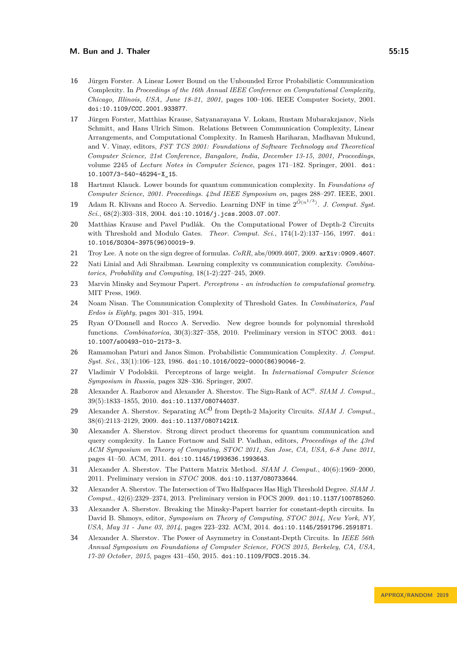- <span id="page-14-4"></span>**16** Jürgen Forster. A Linear Lower Bound on the Unbounded Error Probabilistic Communication Complexity. In *Proceedings of the 16th Annual IEEE Conference on Computational Complexity, Chicago, Illinois, USA, June 18-21, 2001*, pages 100–106. IEEE Computer Society, 2001. [doi:10.1109/CCC.2001.933877](https://doi.org/10.1109/CCC.2001.933877).
- <span id="page-14-15"></span>**17** Jürgen Forster, Matthias Krause, Satyanarayana V. Lokam, Rustam Mubarakzjanov, Niels Schmitt, and Hans Ulrich Simon. Relations Between Communication Complexity, Linear Arrangements, and Computational Complexity. In Ramesh Hariharan, Madhavan Mukund, and V. Vinay, editors, *FST TCS 2001: Foundations of Software Technology and Theoretical Computer Science, 21st Conference, Bangalore, India, December 13-15, 2001, Proceedings*, volume 2245 of *Lecture Notes in Computer Science*, pages 171–182. Springer, 2001. [doi:](https://doi.org/10.1007/3-540-45294-X_15) [10.1007/3-540-45294-X\\_15](https://doi.org/10.1007/3-540-45294-X_15).
- <span id="page-14-13"></span>**18** Hartmut Klauck. Lower bounds for quantum communication complexity. In *Foundations of Computer Science, 2001. Proceedings. 42nd IEEE Symposium on*, pages 288–297. IEEE, 2001.
- <span id="page-14-10"></span>**19** Adam R. Klivans and Rocco A. Servedio. Learning DNF in time  $2^{\tilde{O}(n^{1/3})}$ . *J. Comput. Syst. Sci.*, 68(2):303–318, 2004. [doi:10.1016/j.jcss.2003.07.007](https://doi.org/10.1016/j.jcss.2003.07.007).
- <span id="page-14-3"></span>**20** Matthias Krause and Pavel Pudlák. On the Computational Power of Depth-2 Circuits with Threshold and Modulo Gates. *Theor. Comput. Sci.*, 174(1-2):137–156, 1997. [doi:](https://doi.org/10.1016/S0304-3975(96)00019-9) [10.1016/S0304-3975\(96\)00019-9](https://doi.org/10.1016/S0304-3975(96)00019-9).
- <span id="page-14-16"></span>**21** Troy Lee. A note on the sign degree of formulas. *CoRR*, abs/0909.4607, 2009. [arXiv:0909.4607](http://arxiv.org/abs/0909.4607).
- <span id="page-14-12"></span>**22** Nati Linial and Adi Shraibman. Learning complexity vs communication complexity. *Combinatorics, Probability and Computing*, 18(1-2):227–245, 2009.
- <span id="page-14-2"></span>**23** Marvin Minsky and Seymour Papert. *Perceptrons - an introduction to computational geometry*. MIT Press, 1969.
- <span id="page-14-14"></span>**24** Noam Nisan. The Communication Complexity of Threshold Gates. In *Combinatorics, Paul Erdos is Eighty*, pages 301–315, 1994.
- <span id="page-14-5"></span>**25** Ryan O'Donnell and Rocco A. Servedio. New degree bounds for polynomial threshold functions. *Combinatorica*, 30(3):327–358, 2010. Preliminary version in STOC 2003. [doi:](https://doi.org/10.1007/s00493-010-2173-3) [10.1007/s00493-010-2173-3](https://doi.org/10.1007/s00493-010-2173-3).
- <span id="page-14-11"></span>**26** Ramamohan Paturi and Janos Simon. Probabilistic Communication Complexity. *J. Comput. Syst. Sci.*, 33(1):106–123, 1986. [doi:10.1016/0022-0000\(86\)90046-2](https://doi.org/10.1016/0022-0000(86)90046-2).
- <span id="page-14-1"></span>**27** Vladimir V Podolskii. Perceptrons of large weight. In *International Computer Science Symposium in Russia*, pages 328–336. Springer, 2007.
- <span id="page-14-8"></span>28 Alexander A. Razborov and Alexander A. Sherstov. The Sign-Rank of AC<sup>0</sup>. *SIAM J. Comput.*, 39(5):1833–1855, 2010. [doi:10.1137/080744037](https://doi.org/10.1137/080744037).
- <span id="page-14-6"></span>29 Alexander A. Sherstov. Separating AC<sup>0</sup> from Depth-2 Majority Circuits. *SIAM J. Comput.*, 38(6):2113–2129, 2009. [doi:10.1137/08071421X](https://doi.org/10.1137/08071421X).
- <span id="page-14-18"></span>**30** Alexander A. Sherstov. Strong direct product theorems for quantum communication and query complexity. In Lance Fortnow and Salil P. Vadhan, editors, *Proceedings of the 43rd ACM Symposium on Theory of Computing, STOC 2011, San Jose, CA, USA, 6-8 June 2011*, pages 41–50. ACM, 2011. [doi:10.1145/1993636.1993643](https://doi.org/10.1145/1993636.1993643).
- <span id="page-14-7"></span>**31** Alexander A. Sherstov. The Pattern Matrix Method. *SIAM J. Comput.*, 40(6):1969–2000, 2011. Preliminary version in *STOC* 2008. [doi:10.1137/080733644](https://doi.org/10.1137/080733644).
- <span id="page-14-17"></span>**32** Alexander A. Sherstov. The Intersection of Two Halfspaces Has High Threshold Degree. *SIAM J. Comput.*, 42(6):2329–2374, 2013. Preliminary version in FOCS 2009. [doi:10.1137/100785260](https://doi.org/10.1137/100785260).
- <span id="page-14-9"></span>**33** Alexander A. Sherstov. Breaking the Minsky-Papert barrier for constant-depth circuits. In David B. Shmoys, editor, *Symposium on Theory of Computing, STOC 2014, New York, NY, USA, May 31 - June 03, 2014*, pages 223–232. ACM, 2014. [doi:10.1145/2591796.2591871](https://doi.org/10.1145/2591796.2591871).
- <span id="page-14-0"></span>**34** Alexander A. Sherstov. The Power of Asymmetry in Constant-Depth Circuits. In *IEEE 56th Annual Symposium on Foundations of Computer Science, FOCS 2015, Berkeley, CA, USA, 17-20 October, 2015*, pages 431–450, 2015. [doi:10.1109/FOCS.2015.34](https://doi.org/10.1109/FOCS.2015.34).